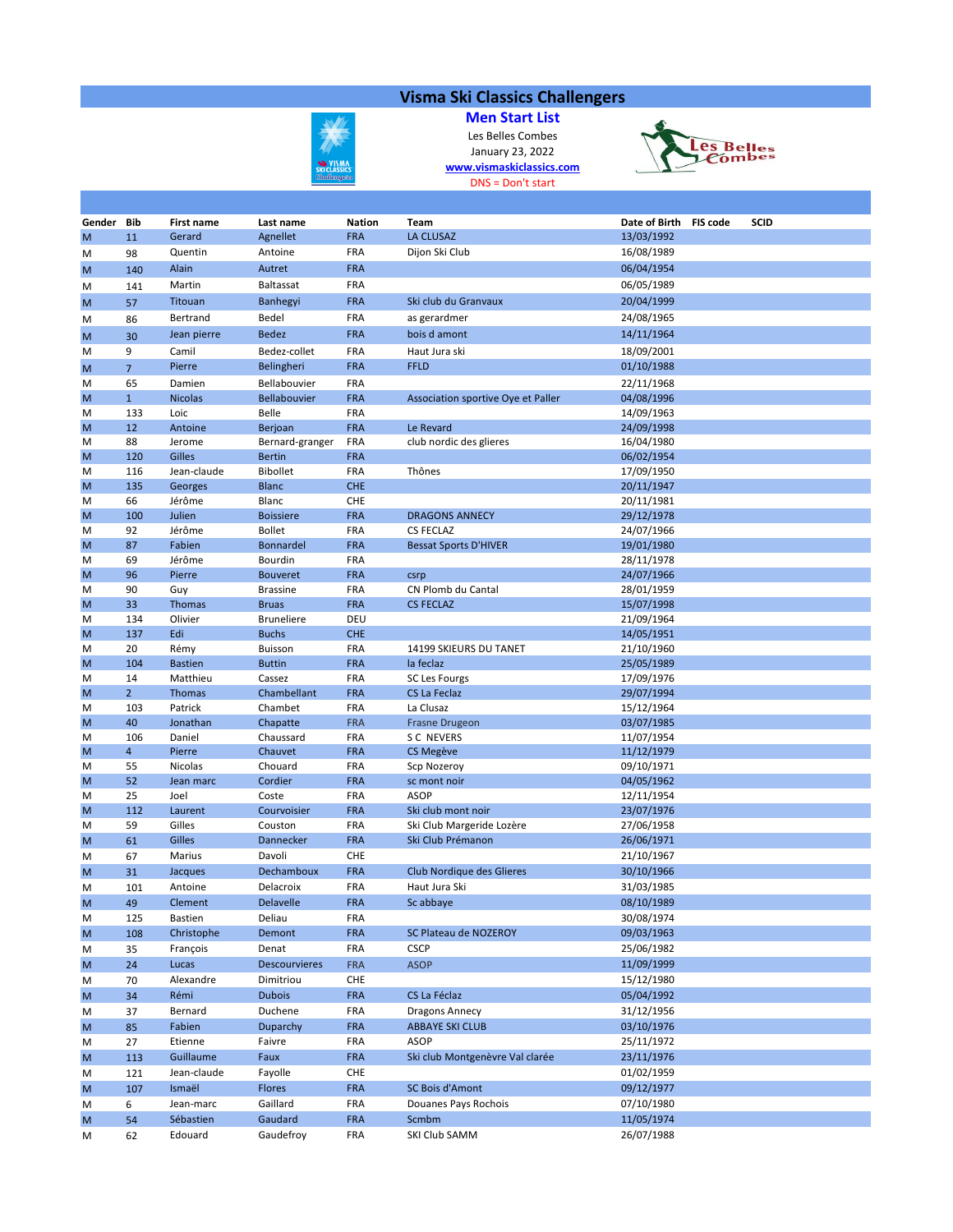## Visma Ski Classics Challengers

**WISMI**<br>SKI CLASSIC<br>Challenge

Men Start List Les Belles Combes January 23, 2022 www.vismaskiclassics.com DNS = Don't start



| Gender Bib |                | <b>First name</b> | Last name            | <b>Nation</b>            | Team                               | Date of Birth            | <b>FIS code</b> | <b>SCID</b> |
|------------|----------------|-------------------|----------------------|--------------------------|------------------------------------|--------------------------|-----------------|-------------|
| M          | 11             | Gerard            | Agnellet             | <b>FRA</b>               | LA CLUSAZ                          | 13/03/1992               |                 |             |
| M          | 98             | Quentin           | Antoine              | <b>FRA</b>               | Dijon Ski Club                     | 16/08/1989               |                 |             |
|            |                | Alain             | Autret               | <b>FRA</b>               |                                    | 06/04/1954               |                 |             |
| M          | 140            |                   |                      | FRA                      |                                    |                          |                 |             |
| M          | 141            | Martin            | <b>Baltassat</b>     |                          |                                    | 06/05/1989               |                 |             |
| M          | 57             | Titouan           | <b>Banhegyi</b>      | <b>FRA</b>               | Ski club du Granvaux               | 20/04/1999               |                 |             |
| M          | 86             | Bertrand          | Bedel                | <b>FRA</b>               | as gerardmer                       | 24/08/1965               |                 |             |
| M          | 30             | Jean pierre       | <b>Bedez</b>         | <b>FRA</b>               | bois d amont                       | 14/11/1964               |                 |             |
| M          | 9              | Camil             | Bedez-collet         | FRA                      | Haut Jura ski                      | 18/09/2001               |                 |             |
| M          | $\overline{7}$ | Pierre            | Belingheri           | <b>FRA</b>               | <b>FFLD</b>                        | 01/10/1988               |                 |             |
| M          | 65             | Damien            | Bellabouvier         | <b>FRA</b>               |                                    | 22/11/1968               |                 |             |
| M          | $\mathbf{1}$   | <b>Nicolas</b>    | <b>Bellabouvier</b>  | <b>FRA</b>               | Association sportive Oye et Paller | 04/08/1996               |                 |             |
| M          | 133            | Loic              | Belle                | FRA                      |                                    | 14/09/1963               |                 |             |
| M          | 12             | Antoine           | Berjoan              | <b>FRA</b>               | Le Revard                          | 24/09/1998               |                 |             |
| M          | 88             | Jerome            | Bernard-granger      | <b>FRA</b>               | club nordic des glieres            | 16/04/1980               |                 |             |
| M          | 120            | Gilles            | <b>Bertin</b>        | <b>FRA</b>               |                                    | 06/02/1954               |                 |             |
| M          | 116            | Jean-claude       | <b>Bibollet</b>      | <b>FRA</b>               | Thônes                             | 17/09/1950               |                 |             |
| M          | 135            | Georges           | <b>Blanc</b>         | <b>CHE</b>               |                                    | 20/11/1947               |                 |             |
| M          | 66             | Jérôme            | Blanc                | CHE                      |                                    | 20/11/1981               |                 |             |
| M          | 100            | Julien            | <b>Boissiere</b>     | <b>FRA</b>               | <b>DRAGONS ANNECY</b>              | 29/12/1978               |                 |             |
| M          | 92             | Jérôme            | <b>Bollet</b>        | <b>FRA</b>               | <b>CS FECLAZ</b>                   | 24/07/1966               |                 |             |
| M          | 87             | Fabien            | <b>Bonnardel</b>     | <b>FRA</b>               | <b>Bessat Sports D'HIVER</b>       | 19/01/1980               |                 |             |
| M          | 69             | Jérôme            | Bourdin              | FRA                      |                                    | 28/11/1978               |                 |             |
| M          | 96             | Pierre            | <b>Bouveret</b>      | <b>FRA</b>               | csrp                               | 24/07/1966               |                 |             |
| M          | 90             | Guy               | <b>Brassine</b>      | FRA                      | CN Plomb du Cantal                 | 28/01/1959               |                 |             |
| M          | 33             | <b>Thomas</b>     | <b>Bruas</b>         | <b>FRA</b>               | <b>CS FECLAZ</b>                   | 15/07/1998               |                 |             |
| M          | 134            | Olivier           | <b>Bruneliere</b>    | DEU                      |                                    | 21/09/1964               |                 |             |
| M          | 137            | Edi               | <b>Buchs</b>         | <b>CHE</b>               |                                    | 14/05/1951               |                 |             |
| M          | 20             | Rémy              | <b>Buisson</b>       | <b>FRA</b>               | 14199 SKIEURS DU TANET             | 21/10/1960               |                 |             |
| M          | 104            | <b>Bastien</b>    | <b>Buttin</b>        | <b>FRA</b>               | la feclaz                          | 25/05/1989               |                 |             |
| M          | 14             | Matthieu          | Cassez               | <b>FRA</b>               | <b>SC Les Fourgs</b>               | 17/09/1976               |                 |             |
| M          | 2 <sup>1</sup> | <b>Thomas</b>     | Chambellant          | <b>FRA</b>               | CS La Feclaz                       | 29/07/1994               |                 |             |
| M          | 103            | Patrick           | Chambet              | FRA                      | La Clusaz                          | 15/12/1964               |                 |             |
| M          | 40             | Jonathan          | Chapatte             | <b>FRA</b>               | <b>Frasne Drugeon</b>              | 03/07/1985               |                 |             |
| M          | 106            | Daniel            | Chaussard            | <b>FRA</b>               | S C NEVERS                         | 11/07/1954               |                 |             |
| M          | $\overline{4}$ | Pierre            | Chauvet              | <b>FRA</b>               | CS Megève                          | 11/12/1979               |                 |             |
| M          | 55             | Nicolas           | Chouard              | <b>FRA</b>               | Scp Nozeroy                        | 09/10/1971               |                 |             |
| M          | 52<br>25       | Jean marc         | Cordier              | <b>FRA</b><br><b>FRA</b> | sc mont noir<br><b>ASOP</b>        | 04/05/1962               |                 |             |
| M<br>M     | 112            | Joel<br>Laurent   | Coste<br>Courvoisier | <b>FRA</b>               | Ski club mont noir                 | 12/11/1954<br>23/07/1976 |                 |             |
| M          | 59             | Gilles            | Couston              | <b>FRA</b>               | Ski Club Margeride Lozère          | 27/06/1958               |                 |             |
| M          | 61             | Gilles            | Dannecker            | <b>FRA</b>               | Ski Club Prémanon                  | 26/06/1971               |                 |             |
|            | 67             | Marius            | Davoli               | CHE                      |                                    | 21/10/1967               |                 |             |
| M          | 31             | Jacques           | Dechamboux           | <b>FRA</b>               | Club Nordique des Glieres          | 30/10/1966               |                 |             |
| M          |                | Antoine           | Delacroix            | FRA                      | Haut Jura Ski                      | 31/03/1985               |                 |             |
| M          | 101            | Clement           | <b>Delavelle</b>     | <b>FRA</b>               | Sc abbaye                          | 08/10/1989               |                 |             |
| M          | 49             |                   |                      |                          |                                    |                          |                 |             |
| M          | 125            | <b>Bastien</b>    | Deliau               | FRA                      |                                    | 30/08/1974               |                 |             |
| M          | 108            | Christophe        | Demont               | <b>FRA</b>               | SC Plateau de NOZEROY              | 09/03/1963               |                 |             |
| M          | 35             | François          | Denat                | <b>FRA</b>               | <b>CSCP</b>                        | 25/06/1982               |                 |             |
| M          | 24             | Lucas             | <b>Descourvieres</b> | <b>FRA</b>               | <b>ASOP</b>                        | 11/09/1999               |                 |             |
| M          | 70             | Alexandre         | Dimitriou            | CHE                      |                                    | 15/12/1980               |                 |             |
| M          | 34             | Rémi              | <b>Dubois</b>        | <b>FRA</b>               | CS La Féclaz                       | 05/04/1992               |                 |             |
| M          | 37             | Bernard           | Duchene              | FRA                      | Dragons Annecy                     | 31/12/1956               |                 |             |
| M          | 85             | Fabien            | Duparchy             | <b>FRA</b>               | <b>ABBAYE SKI CLUB</b>             | 03/10/1976               |                 |             |
| M          | 27             | Etienne           | Faivre               | FRA                      | ASOP                               | 25/11/1972               |                 |             |
| M          | 113            | Guillaume         | Faux                 | <b>FRA</b>               | Ski club Montgenèvre Val clarée    | 23/11/1976               |                 |             |
| M          | 121            | Jean-claude       | Fayolle              | CHE                      |                                    | 01/02/1959               |                 |             |
| M          | 107            | Ismaël            | <b>Flores</b>        | <b>FRA</b>               | <b>SC Bois d'Amont</b>             | 09/12/1977               |                 |             |
| M          | 6              | Jean-marc         | Gaillard             | FRA                      | Douanes Pays Rochois               | 07/10/1980               |                 |             |
| M          | 54             | Sébastien         | Gaudard              | <b>FRA</b>               | Scmbm                              | 11/05/1974               |                 |             |
| M          | 62             | Edouard           | Gaudefroy            | FRA                      | SKI Club SAMM                      | 26/07/1988               |                 |             |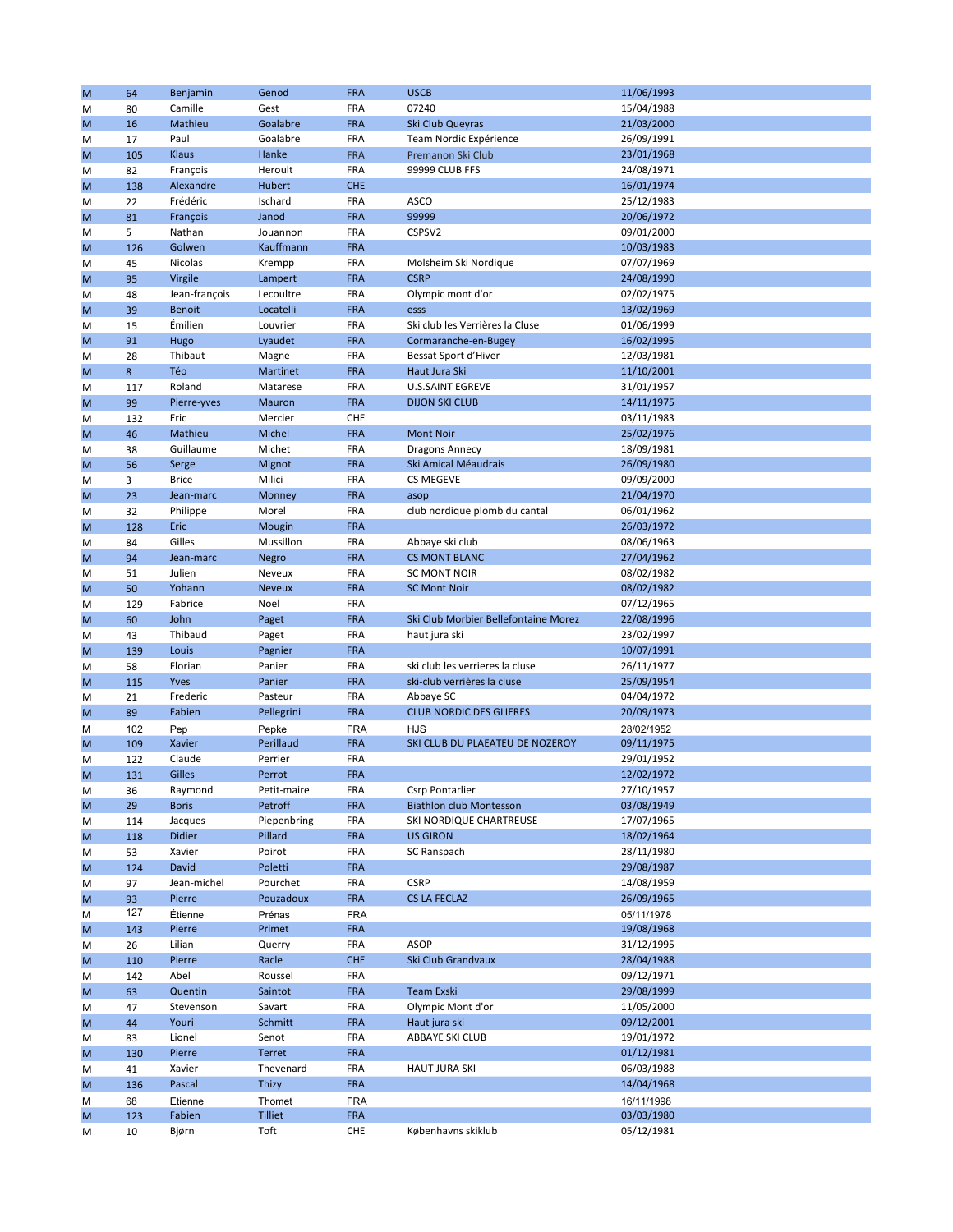| M      | 64        | Benjamin      | Genod          | <b>FRA</b>               | <b>USCB</b>                          | 11/06/1993 |
|--------|-----------|---------------|----------------|--------------------------|--------------------------------------|------------|
| M      | 80        | Camille       | Gest           | <b>FRA</b>               | 07240                                | 15/04/1988 |
| M      | 16        | Mathieu       | Goalabre       | <b>FRA</b>               | Ski Club Queyras                     | 21/03/2000 |
| M      | 17        | Paul          | Goalabre       | <b>FRA</b>               | Team Nordic Expérience               | 26/09/1991 |
| M      | 105       | Klaus         | Hanke          | <b>FRA</b>               | Premanon Ski Club                    | 23/01/1968 |
| M      | 82        | François      | Heroult        | <b>FRA</b>               | 99999 CLUB FFS                       | 24/08/1971 |
| M      | 138       | Alexandre     | Hubert         | <b>CHE</b>               |                                      | 16/01/1974 |
| M      | 22        | Frédéric      | Ischard        | FRA                      | <b>ASCO</b>                          | 25/12/1983 |
| M      | 81        | François      | Janod          | <b>FRA</b>               | 99999                                | 20/06/1972 |
| M      | 5         | Nathan        | Jouannon       | FRA                      | CSPSV2                               | 09/01/2000 |
| M      | 126       | Golwen        | Kauffmann      | <b>FRA</b>               |                                      | 10/03/1983 |
| M      | 45        | Nicolas       | Krempp         | <b>FRA</b>               | Molsheim Ski Nordique                | 07/07/1969 |
| M      | 95        | Virgile       | Lampert        | <b>FRA</b>               | <b>CSRP</b>                          | 24/08/1990 |
| M      | 48        | Jean-françois | Lecoultre      | <b>FRA</b>               | Olympic mont d'or                    | 02/02/1975 |
| M      | 39        | <b>Benoit</b> | Locatelli      | <b>FRA</b>               | esss                                 | 13/02/1969 |
| M      | 15        | Émilien       | Louvrier       | FRA                      | Ski club les Verrières la Cluse      | 01/06/1999 |
| M      | 91        | Hugo          | Lyaudet        | <b>FRA</b>               | Cormaranche-en-Bugey                 | 16/02/1995 |
| M      | 28        | Thibaut       | Magne          | FRA                      | Bessat Sport d'Hiver                 | 12/03/1981 |
| M      | 8         | Téo           | Martinet       | <b>FRA</b>               | Haut Jura Ski                        | 11/10/2001 |
| M      | 117       | Roland        | Matarese       | FRA                      | <b>U.S.SAINT EGREVE</b>              | 31/01/1957 |
| M      | 99        | Pierre-yves   | Mauron         | <b>FRA</b>               | <b>DIJON SKI CLUB</b>                | 14/11/1975 |
| M      | 132       | Eric          | Mercier        | CHE                      |                                      | 03/11/1983 |
| M      | 46        | Mathieu       | Michel         | <b>FRA</b>               | <b>Mont Noir</b>                     | 25/02/1976 |
| M      | 38        | Guillaume     | Michet         | FRA                      | <b>Dragons Annecy</b>                | 18/09/1981 |
| M      | 56        | Serge         | Mignot         | <b>FRA</b>               | Ski Amical Méaudrais                 | 26/09/1980 |
| M      | 3         | <b>Brice</b>  | Milici         | FRA                      | <b>CS MEGEVE</b>                     | 09/09/2000 |
| M      | 23        | Jean-marc     | Monney         | <b>FRA</b>               | asop                                 | 21/04/1970 |
| M      | 32        | Philippe      | Morel          | <b>FRA</b>               | club nordique plomb du cantal        | 06/01/1962 |
| M      | 128       | Eric          | Mougin         | <b>FRA</b>               |                                      | 26/03/1972 |
| M      | 84        | Gilles        | Mussillon      | FRA                      | Abbaye ski club                      | 08/06/1963 |
| M      | 94        | Jean-marc     | Negro          | <b>FRA</b>               | <b>CS MONT BLANC</b>                 | 27/04/1962 |
| M      | 51        | Julien        | Neveux         | FRA                      | <b>SC MONT NOIR</b>                  | 08/02/1982 |
| M      | 50        | Yohann        | <b>Neveux</b>  | <b>FRA</b>               | <b>SC Mont Noir</b>                  | 08/02/1982 |
| M      | 129       | Fabrice       | Noel           | FRA                      |                                      | 07/12/1965 |
| M      | 60        | John          | Paget          | <b>FRA</b>               | Ski Club Morbier Bellefontaine Morez | 22/08/1996 |
| M      | 43        | Thibaud       | Paget          | FRA                      | haut jura ski                        | 23/02/1997 |
| M      | 139       | Louis         | Pagnier        | <b>FRA</b>               |                                      | 10/07/1991 |
| M      | 58        | Florian       | Panier         | FRA                      | ski club les verrieres la cluse      | 26/11/1977 |
| M      | 115       | Yves          | Panier         | <b>FRA</b>               | ski-club verrières la cluse          | 25/09/1954 |
| M      | 21        | Frederic      | Pasteur        | FRA                      | Abbaye SC                            | 04/04/1972 |
| M      | 89        | Fabien        | Pellegrini     | <b>FRA</b>               | <b>CLUB NORDIC DES GLIERES</b>       | 20/09/1973 |
| M      | 102       | Pep           | Pepke          | <b>FRA</b>               | HJS                                  | 28/02/1952 |
| M      | 109       | Xavier        | Perillaud      | <b>FRA</b>               | SKI CLUB DU PLAEATEU DE NOZEROY      | 09/11/1975 |
| M      | 122       | Claude        | Perrier        | FRA                      |                                      | 29/01/1952 |
| M      | 131       | <b>Gilles</b> | Perrot         | <b>FRA</b>               |                                      | 12/02/1972 |
| M      | 36        | Raymond       | Petit-maire    | <b>FRA</b>               | Csrp Pontarlier                      | 27/10/1957 |
| M      | 29        | <b>Boris</b>  | Petroff        | <b>FRA</b>               | <b>Biathlon club Montesson</b>       | 03/08/1949 |
| M      | 114       | Jacques       | Piepenbring    | FRA                      | SKI NORDIQUE CHARTREUSE              | 17/07/1965 |
| M      | 118       | <b>Didier</b> | Pillard        | <b>FRA</b>               | <b>US GIRON</b>                      | 18/02/1964 |
| M      | 53        | Xavier        | Poirot         | FRA                      | SC Ranspach                          | 28/11/1980 |
| M      | 124       | David         | Poletti        | <b>FRA</b>               |                                      | 29/08/1987 |
| M      | 97        | Jean-michel   | Pourchet       | FRA                      | <b>CSRP</b>                          | 14/08/1959 |
| M      | 93        | Pierre        | Pouzadoux      | <b>FRA</b>               | <b>CS LA FECLAZ</b>                  | 26/09/1965 |
| M      | 127       | Étienne       | Prénas         | <b>FRA</b>               |                                      | 05/11/1978 |
| M      | 143       | Pierre        | Primet         | <b>FRA</b>               |                                      | 19/08/1968 |
| M      | 26        | Lilian        | Querry         | FRA                      | <b>ASOP</b>                          | 31/12/1995 |
| M      | 110       | Pierre        | Racle          | <b>CHE</b>               | Ski Club Grandvaux                   | 28/04/1988 |
| M      | 142       | Abel          | Roussel        | FRA                      |                                      | 09/12/1971 |
| M      | 63        | Quentin       | Saintot        | <b>FRA</b>               | <b>Team Exski</b>                    | 29/08/1999 |
| M      | 47        | Stevenson     | Savart         | FRA                      | Olympic Mont d'or                    | 11/05/2000 |
| M      | 44        | Youri         | Schmitt        | <b>FRA</b>               | Haut jura ski                        | 09/12/2001 |
|        | 83        | Lionel        | Senot          | FRA                      | ABBAYE SKI CLUB                      | 19/01/1972 |
| M<br>M | 130       | Pierre        | Terret         | <b>FRA</b>               |                                      | 01/12/1981 |
|        | 41        | Xavier        | Thevenard      | FRA                      | <b>HAUT JURA SKI</b>                 | 06/03/1988 |
| M<br>M | 136       | Pascal        | Thizy          | <b>FRA</b>               |                                      | 14/04/1968 |
|        |           | Etienne       | Thomet         |                          |                                      | 16/11/1998 |
| M<br>M | 68<br>123 | Fabien        | <b>Tilliet</b> | <b>FRA</b><br><b>FRA</b> |                                      | 03/03/1980 |
|        | 10        | Bjørn         | Toft           | CHE                      | Københavns skiklub                   | 05/12/1981 |
| M      |           |               |                |                          |                                      |            |